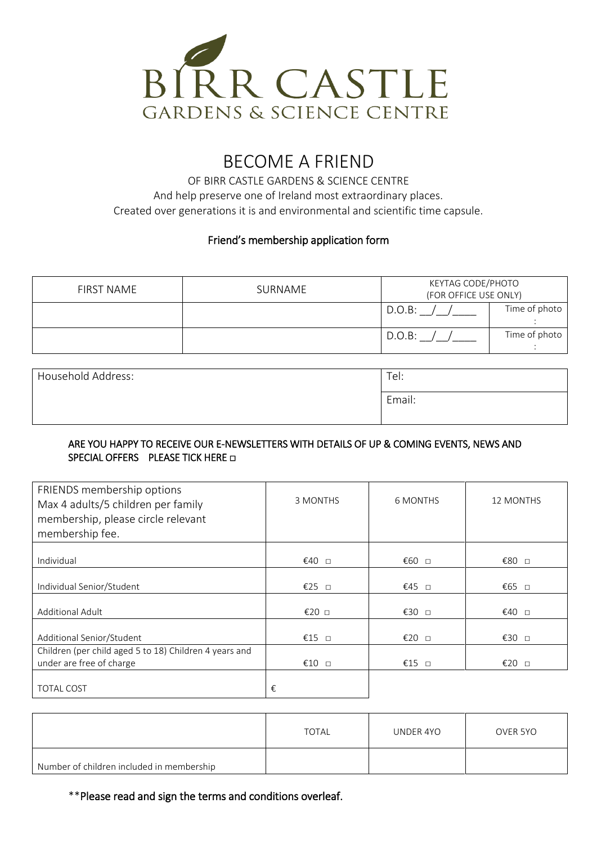

# BECOME A FRIEND

OF BIRR CASTLE GARDENS & SCIENCE CENTRE And help preserve one of Ireland most extraordinary places. Created over generations it is and environmental and scientific time capsule.

#### Friend's membership application form

| <b>FIRST NAME</b> | SURNAME | KEYTAG CODE/PHOTO<br>(FOR OFFICE USE ONLY) |               |
|-------------------|---------|--------------------------------------------|---------------|
|                   |         | D.O.B:                                     | Time of photo |
|                   |         | D.O.B:                                     | Time of photo |

| Household Address: | Tel:   |
|--------------------|--------|
|                    | Email: |

#### ARE YOU HAPPY TO RECEIVE OUR E-NEWSLETTERS WITH DETAILS OF UP & COMING EVENTS, NEWS AND SPECIAL OFFERS PLEASE TICK HERE □

| FRIENDS membership options<br>Max 4 adults/5 children per family<br>membership, please circle relevant<br>membership fee. | 3 MONTHS | <b>6 MONTHS</b> | <b>12 MONTHS</b> |
|---------------------------------------------------------------------------------------------------------------------------|----------|-----------------|------------------|
| Individual                                                                                                                | €40 □    | €60 □           | €80 □            |
| Individual Senior/Student                                                                                                 | €25 □    | €45 □           | €65 □            |
| <b>Additional Adult</b>                                                                                                   | €20 □    | €30 □           | €40 □            |
| Additional Senior/Student                                                                                                 | €15 $□$  | €20 □           | €30 □            |
| Children (per child aged 5 to 18) Children 4 years and<br>under are free of charge                                        | €10 $□$  | €15 $\Box$      | €20 □            |
| <b>TOTAL COST</b>                                                                                                         | €        |                 |                  |

|                                           | TOTAL | UNDER 4YO | OVER 5YO |
|-------------------------------------------|-------|-----------|----------|
| Number of children included in membership |       |           |          |

\*\*Please read and sign the terms and conditions overleaf.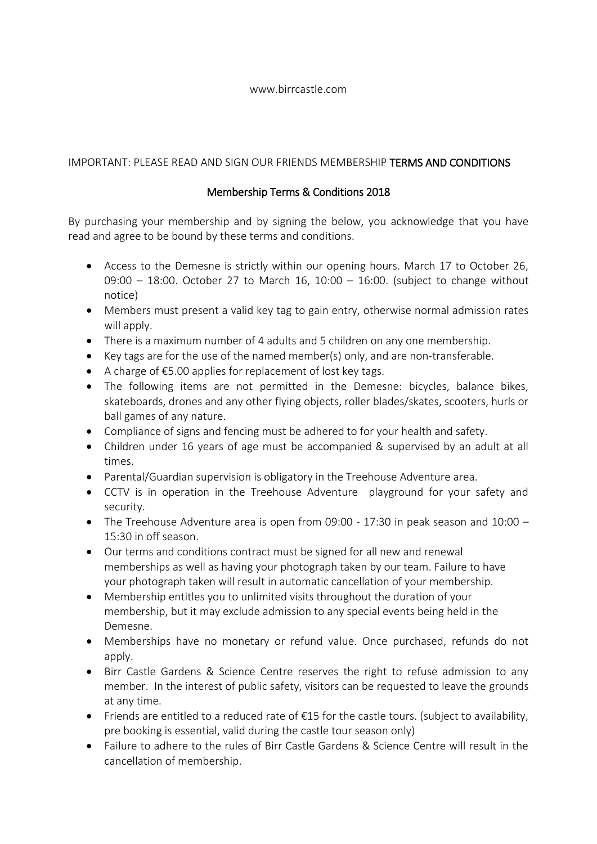#### www.birrcastle.com

### IMPORTANT: PLEASE READ AND SIGN OUR FRIENDS MEMBERSHIP TERMS AND CONDITIONS

### Membership Terms & Conditions 2018

By purchasing your membership and by signing the below, you acknowledge that you have read and agree to be bound by these terms and conditions.

- Access to the Demesne is strictly within our opening hours. March 17 to October 26, 09:00 – 18:00. October 27 to March 16, 10:00 – 16:00. (subject to change without notice)
- Members must present a valid key tag to gain entry, otherwise normal admission rates will apply.
- There is a maximum number of 4 adults and 5 children on any one membership.
- Key tags are for the use of the named member(s) only, and are non-transferable.
- A charge of €5.00 applies for replacement of lost key tags.
- The following items are not permitted in the Demesne: bicycles, balance bikes, skateboards, drones and any other flying objects, roller blades/skates, scooters, hurls or ball games of any nature.
- Compliance of signs and fencing must be adhered to for your health and safety.
- Children under 16 years of age must be accompanied & supervised by an adult at all times.
- Parental/Guardian supervision is obligatory in the Treehouse Adventure area.
- CCTV is in operation in the Treehouse Adventure playground for your safety and security.
- The Treehouse Adventure area is open from 09:00 17:30 in peak season and 10:00 15:30 in off season.
- Our terms and conditions contract must be signed for all new and renewal memberships as well as having your photograph taken by our team. Failure to have your photograph taken will result in automatic cancellation of your membership.
- Membership entitles you to unlimited visits throughout the duration of your membership, but it may exclude admission to any special events being held in the Demesne.
- Memberships have no monetary or refund value. Once purchased, refunds do not apply.
- Birr Castle Gardens & Science Centre reserves the right to refuse admission to any member. In the interest of public safety, visitors can be requested to leave the grounds at any time.
- Friends are entitled to a reduced rate of €15 for the castle tours. (subject to availability, pre booking is essential, valid during the castle tour season only)
- Failure to adhere to the rules of Birr Castle Gardens & Science Centre will result in the cancellation of membership.